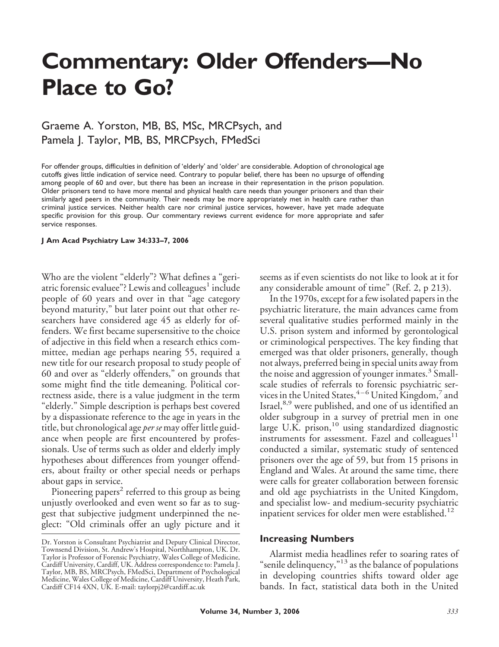# **Commentary: Older Offenders—No Place to Go?**

## Graeme A. Yorston, MB, BS, MSc, MRCPsych, and Pamela J. Taylor, MB, BS, MRCPsych, FMedSci

For offender groups, difficulties in definition of 'elderly' and 'older' are considerable. Adoption of chronological age cutoffs gives little indication of service need. Contrary to popular belief, there has been no upsurge of offending among people of 60 and over, but there has been an increase in their representation in the prison population. Older prisoners tend to have more mental and physical health care needs than younger prisoners and than their similarly aged peers in the community. Their needs may be more appropriately met in health care rather than criminal justice services. Neither health care nor criminal justice services, however, have yet made adequate specific provision for this group. Our commentary reviews current evidence for more appropriate and safer service responses.

#### **J Am Acad Psychiatry Law 34:333–7, 2006**

Who are the violent "elderly"? What defines a "geriatric forensic evaluee"? Lewis and colleagues<sup>1</sup> include people of 60 years and over in that "age category beyond maturity," but later point out that other researchers have considered age 45 as elderly for offenders. We first became supersensitive to the choice of adjective in this field when a research ethics committee, median age perhaps nearing 55, required a new title for our research proposal to study people of 60 and over as "elderly offenders," on grounds that some might find the title demeaning. Political correctness aside, there is a value judgment in the term "elderly." Simple description is perhaps best covered by a dispassionate reference to the age in years in the title, but chronological age *per se* may offer little guidance when people are first encountered by professionals. Use of terms such as older and elderly imply hypotheses about differences from younger offenders, about frailty or other special needs or perhaps about gaps in service.

Pioneering papers<sup>2</sup> referred to this group as being unjustly overlooked and even went so far as to suggest that subjective judgment underpinned the neglect: "Old criminals offer an ugly picture and it seems as if even scientists do not like to look at it for any considerable amount of time" (Ref. 2, p 213).

In the 1970s, except for a few isolated papers in the psychiatric literature, the main advances came from several qualitative studies performed mainly in the U.S. prison system and informed by gerontological or criminological perspectives. The key finding that emerged was that older prisoners, generally, though not always, preferred being in special units away from the noise and aggression of younger inmates.<sup>3</sup> Smallscale studies of referrals to forensic psychiatric services in the United States,  $4-6$  United Kingdom,  $7$  and Israel,<sup>8,9</sup> were published, and one of us identified an older subgroup in a survey of pretrial men in one large U.K. prison,<sup>10</sup> using standardized diagnostic instruments for assessment. Fazel and colleagues<sup> $11$ </sup> conducted a similar, systematic study of sentenced prisoners over the age of 59, but from 15 prisons in England and Wales. At around the same time, there were calls for greater collaboration between forensic and old age psychiatrists in the United Kingdom, and specialist low- and medium-security psychiatric inpatient services for older men were established.<sup>12</sup>

#### **Increasing Numbers**

Alarmist media headlines refer to soaring rates of "senile delinquency,"<sup>13</sup> as the balance of populations in developing countries shifts toward older age bands. In fact, statistical data both in the United

Dr. Yorston is Consultant Psychiatrist and Deputy Clinical Director, Townsend Division, St. Andrew's Hospital, Northhampton, UK. Dr. Taylor is Professor of Forensic Psychiatry, Wales College of Medicine, Cardiff University, Cardiff, UK. Address correspondence to: Pamela J. Taylor, MB, BS, MRCPsych, FMedSci, Department of Psychological Medicine, Wales College of Medicine, Cardiff University, Heath Park, Cardiff CF14 4XN, UK. E-mail: taylorpj2@cardiff.ac.uk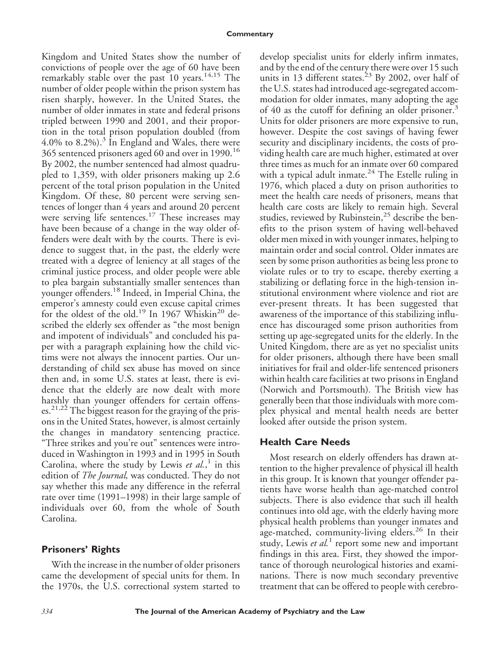Kingdom and United States show the number of convictions of people over the age of 60 have been remarkably stable over the past  $10$  years.<sup>14,15</sup> The number of older people within the prison system has risen sharply, however. In the United States, the number of older inmates in state and federal prisons tripled between 1990 and 2001, and their proportion in the total prison population doubled (from 4.0% to 8.2%).<sup>3</sup> In England and Wales, there were 365 sentenced prisoners aged 60 and over in 1990.<sup>16</sup> By 2002, the number sentenced had almost quadrupled to 1,359, with older prisoners making up 2.6 percent of the total prison population in the United Kingdom. Of these, 80 percent were serving sentences of longer than 4 years and around 20 percent were serving life sentences.<sup>17</sup> These increases may have been because of a change in the way older offenders were dealt with by the courts. There is evidence to suggest that, in the past, the elderly were treated with a degree of leniency at all stages of the criminal justice process, and older people were able to plea bargain substantially smaller sentences than younger offenders.<sup>18</sup> Indeed, in Imperial China, the emperor's amnesty could even excuse capital crimes for the oldest of the old.<sup>19</sup> In 1967 Whiskin<sup>20</sup> described the elderly sex offender as "the most benign and impotent of individuals" and concluded his paper with a paragraph explaining how the child victims were not always the innocent parties. Our understanding of child sex abuse has moved on since then and, in some U.S. states at least, there is evidence that the elderly are now dealt with more harshly than younger offenders for certain offenses.<sup>21,22</sup> The biggest reason for the graying of the prisons in the United States, however, is almost certainly the changes in mandatory sentencing practice. "Three strikes and you're out" sentences were introduced in Washington in 1993 and in 1995 in South Carolina, where the study by Lewis *et al.*, <sup>1</sup> in this edition of *The Journal,* was conducted. They do not say whether this made any difference in the referral rate over time (1991–1998) in their large sample of individuals over 60, from the whole of South Carolina.

### **Prisoners' Rights**

With the increase in the number of older prisoners came the development of special units for them. In the 1970s, the U.S. correctional system started to

develop specialist units for elderly infirm inmates, and by the end of the century there were over 15 such units in 13 different states.<sup>23</sup> By 2002, over half of the U.S. states had introduced age-segregated accommodation for older inmates, many adopting the age of 40 as the cutoff for defining an older prisoner.<sup>3</sup> Units for older prisoners are more expensive to run, however. Despite the cost savings of having fewer security and disciplinary incidents, the costs of providing health care are much higher, estimated at over three times as much for an inmate over 60 compared with a typical adult inmate. $24$  The Estelle ruling in 1976, which placed a duty on prison authorities to meet the health care needs of prisoners, means that health care costs are likely to remain high. Several studies, reviewed by Rubinstein,<sup>25</sup> describe the benefits to the prison system of having well-behaved older men mixed in with younger inmates, helping to maintain order and social control. Older inmates are seen by some prison authorities as being less prone to violate rules or to try to escape, thereby exerting a stabilizing or deflating force in the high-tension institutional environment where violence and riot are ever-present threats. It has been suggested that awareness of the importance of this stabilizing influence has discouraged some prison authorities from setting up age-segregated units for the elderly. In the United Kingdom, there are as yet no specialist units for older prisoners, although there have been small initiatives for frail and older-life sentenced prisoners within health care facilities at two prisons in England (Norwich and Portsmouth). The British view has generally been that those individuals with more complex physical and mental health needs are better looked after outside the prison system.

#### **Health Care Needs**

Most research on elderly offenders has drawn attention to the higher prevalence of physical ill health in this group. It is known that younger offender patients have worse health than age-matched control subjects. There is also evidence that such ill health continues into old age, with the elderly having more physical health problems than younger inmates and age-matched, community-living elders.<sup>26</sup> In their study, Lewis *et al.*<sup>1</sup> report some new and important findings in this area. First, they showed the importance of thorough neurological histories and examinations. There is now much secondary preventive treatment that can be offered to people with cerebro-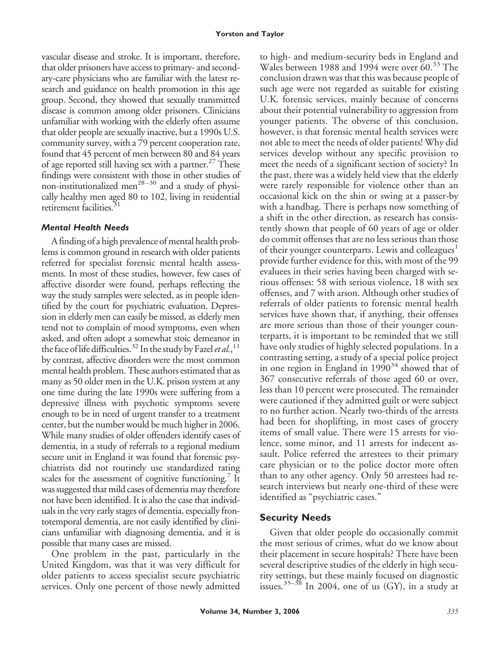vascular disease and stroke. It is important, therefore, that older prisoners have access to primary- and secondary-care physicians who are familiar with the latest research and guidance on health promotion in this age group. Second, they showed that sexually transmitted disease is common among older prisoners. Clinicians unfamiliar with working with the elderly often assume that older people are sexually inactive, but a 1990s U.S. community survey, with a 79 percent cooperation rate, found that 45 percent of men between 80 and 84 years of age reported still having sex with a partner. $27$  These findings were consistent with those in other studies of non-institutionalized men<sup>28-30</sup> and a study of physically healthy men aged 80 to 102, living in residential retirement facilities.<sup>31</sup>

## *Mental Health Needs*

A finding of a high prevalence of mental health problems is common ground in research with older patients referred for specialist forensic mental health assessments. In most of these studies, however, few cases of affective disorder were found, perhaps reflecting the way the study samples were selected, as in people identified by the court for psychiatric evaluation. Depression in elderly men can easily be missed, as elderly men tend not to complain of mood symptoms, even when asked, and often adopt a somewhat stoic demeanor in the face of life difficulties.<sup>32</sup> In the study by Fazel et al.,<sup>11</sup> by contrast, affective disorders were the most common mental health problem. These authors estimated that as many as 50 older men in the U.K. prison system at any one time during the late 1990s were suffering from a depressive illness with psychotic symptoms severe enough to be in need of urgent transfer to a treatment center, but the number would be much higher in 2006. While many studies of older offenders identify cases of dementia, in a study of referrals to a regional medium secure unit in England it was found that forensic psychiatrists did not routinely use standardized rating scales for the assessment of cognitive functioning.<sup>7</sup> It was suggested that mild cases of dementia may therefore not have been identified. It is also the case that individuals in the very early stages of dementia, especially frontotemporal dementia, are not easily identified by clinicians unfamiliar with diagnosing dementia, and it is possible that many cases are missed.

One problem in the past, particularly in the United Kingdom, was that it was very difficult for older patients to access specialist secure psychiatric services. Only one percent of those newly admitted to high- and medium-security beds in England and Wales between 1988 and 1994 were over 60.<sup>33</sup> The conclusion drawn was that this was because people of such age were not regarded as suitable for existing U.K. forensic services, mainly because of concerns about their potential vulnerability to aggression from younger patients. The obverse of this conclusion, however, is that forensic mental health services were not able to meet the needs of older patients! Why did services develop without any specific provision to meet the needs of a significant section of society? In the past, there was a widely held view that the elderly were rarely responsible for violence other than an occasional kick on the shin or swing at a passer-by with a handbag. There is perhaps now something of a shift in the other direction, as research has consistently shown that people of 60 years of age or older do commit offenses that are no less serious than those of their younger counterparts. Lewis and colleagues<sup>1</sup> provide further evidence for this, with most of the 99 evaluees in their series having been charged with serious offenses: 58 with serious violence, 18 with sex offenses, and 7 with arson. Although other studies of referrals of older patients to forensic mental health services have shown that, if anything, their offenses are more serious than those of their younger counterparts, it is important to be reminded that we still have only studies of highly selected populations. In a contrasting setting, a study of a special police project in one region in England in  $1990^{34}$  showed that of 367 consecutive referrals of those aged 60 or over, less than 10 percent were prosecuted. The remainder were cautioned if they admitted guilt or were subject to no further action. Nearly two-thirds of the arrests had been for shoplifting, in most cases of grocery items of small value. There were 15 arrests for violence, some minor, and 11 arrests for indecent assault. Police referred the arrestees to their primary care physician or to the police doctor more often than to any other agency. Only 50 arrestees had research interviews but nearly one-third of these were identified as "psychiatric cases."

## **Security Needs**

Given that older people do occasionally commit the most serious of crimes, what do we know about their placement in secure hospitals? There have been several descriptive studies of the elderly in high security settings, but these mainly focused on diagnostic issues.<sup>35–38</sup> In 2004, one of us (GY), in a study at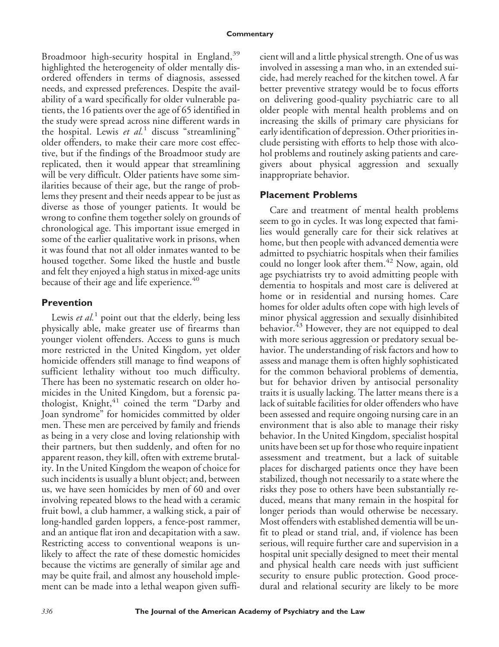Broadmoor high-security hospital in England,<sup>39</sup> highlighted the heterogeneity of older mentally disordered offenders in terms of diagnosis, assessed needs, and expressed preferences. Despite the availability of a ward specifically for older vulnerable patients, the 16 patients over the age of 65 identified in the study were spread across nine different wards in the hospital. Lewis *et al.*<sup>1</sup> discuss "streamlining" older offenders, to make their care more cost effective, but if the findings of the Broadmoor study are replicated, then it would appear that streamlining will be very difficult. Older patients have some similarities because of their age, but the range of problems they present and their needs appear to be just as diverse as those of younger patients. It would be wrong to confine them together solely on grounds of chronological age. This important issue emerged in some of the earlier qualitative work in prisons, when it was found that not all older inmates wanted to be housed together. Some liked the hustle and bustle and felt they enjoyed a high status in mixed-age units because of their age and life experience.<sup>40</sup>

## **Prevention**

Lewis *et al.*<sup>1</sup> point out that the elderly, being less physically able, make greater use of firearms than younger violent offenders. Access to guns is much more restricted in the United Kingdom, yet older homicide offenders still manage to find weapons of sufficient lethality without too much difficulty. There has been no systematic research on older homicides in the United Kingdom, but a forensic pathologist, Knight,<sup>41</sup> coined the term "Darby and Joan syndrome" for homicides committed by older men. These men are perceived by family and friends as being in a very close and loving relationship with their partners, but then suddenly, and often for no apparent reason, they kill, often with extreme brutality. In the United Kingdom the weapon of choice for such incidents is usually a blunt object; and, between us, we have seen homicides by men of 60 and over involving repeated blows to the head with a ceramic fruit bowl, a club hammer, a walking stick, a pair of long-handled garden loppers, a fence-post rammer, and an antique flat iron and decapitation with a saw. Restricting access to conventional weapons is unlikely to affect the rate of these domestic homicides because the victims are generally of similar age and may be quite frail, and almost any household implement can be made into a lethal weapon given sufficient will and a little physical strength. One of us was involved in assessing a man who, in an extended suicide, had merely reached for the kitchen towel. A far better preventive strategy would be to focus efforts on delivering good-quality psychiatric care to all older people with mental health problems and on increasing the skills of primary care physicians for early identification of depression. Other priorities include persisting with efforts to help those with alcohol problems and routinely asking patients and caregivers about physical aggression and sexually inappropriate behavior.

## **Placement Problems**

Care and treatment of mental health problems seem to go in cycles. It was long expected that families would generally care for their sick relatives at home, but then people with advanced dementia were admitted to psychiatric hospitals when their families could no longer look after them.<sup>42</sup> Now, again, old age psychiatrists try to avoid admitting people with dementia to hospitals and most care is delivered at home or in residential and nursing homes. Care homes for older adults often cope with high levels of minor physical aggression and sexually disinhibited behavior.<sup>43</sup> However, they are not equipped to deal with more serious aggression or predatory sexual behavior. The understanding of risk factors and how to assess and manage them is often highly sophisticated for the common behavioral problems of dementia, but for behavior driven by antisocial personality traits it is usually lacking. The latter means there is a lack of suitable facilities for older offenders who have been assessed and require ongoing nursing care in an environment that is also able to manage their risky behavior. In the United Kingdom, specialist hospital units have been set up for those who require inpatient assessment and treatment, but a lack of suitable places for discharged patients once they have been stabilized, though not necessarily to a state where the risks they pose to others have been substantially reduced, means that many remain in the hospital for longer periods than would otherwise be necessary. Most offenders with established dementia will be unfit to plead or stand trial, and, if violence has been serious, will require further care and supervision in a hospital unit specially designed to meet their mental and physical health care needs with just sufficient security to ensure public protection. Good procedural and relational security are likely to be more